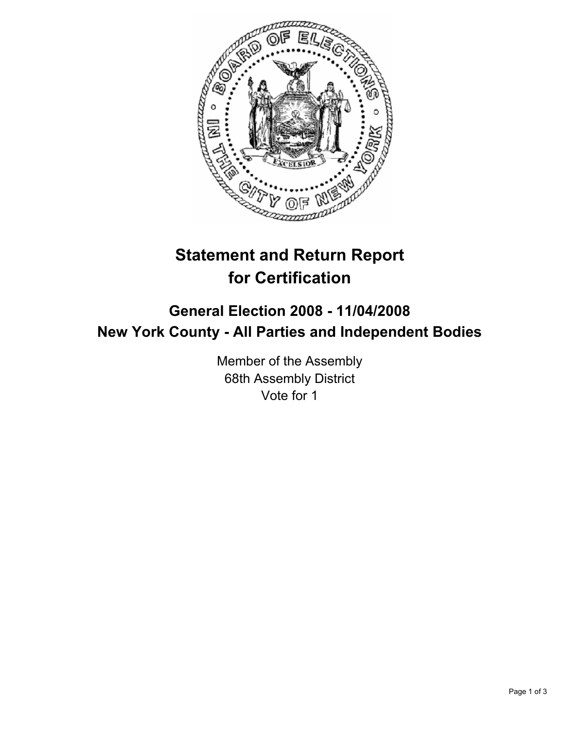

# **Statement and Return Report for Certification**

## **General Election 2008 - 11/04/2008 New York County - All Parties and Independent Bodies**

Member of the Assembly 68th Assembly District Vote for 1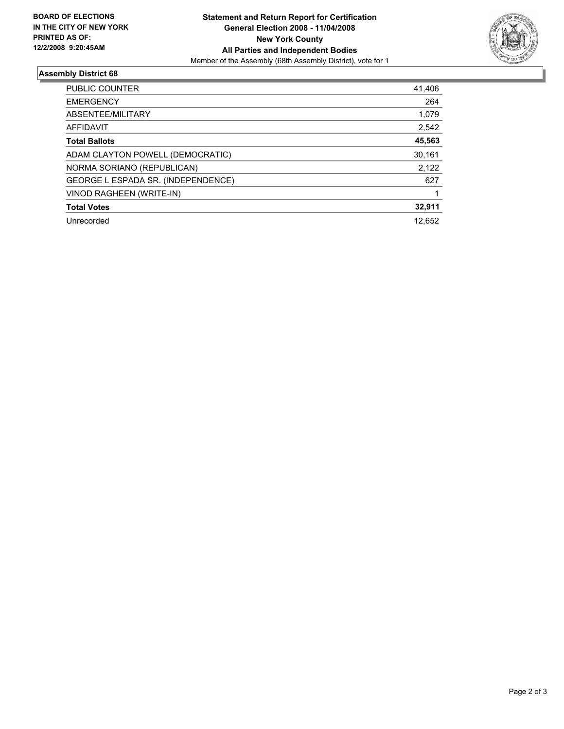

## **Assembly District 68**

| <b>PUBLIC COUNTER</b>              | 41,406 |
|------------------------------------|--------|
| <b>EMERGENCY</b>                   | 264    |
| ABSENTEE/MILITARY                  | 1,079  |
| <b>AFFIDAVIT</b>                   | 2,542  |
| <b>Total Ballots</b>               | 45,563 |
| ADAM CLAYTON POWELL (DEMOCRATIC)   | 30,161 |
| NORMA SORIANO (REPUBLICAN)         | 2,122  |
| GEORGE L ESPADA SR. (INDEPENDENCE) | 627    |
| VINOD RAGHEEN (WRITE-IN)           |        |
| <b>Total Votes</b>                 | 32,911 |
| Unrecorded                         | 12.652 |